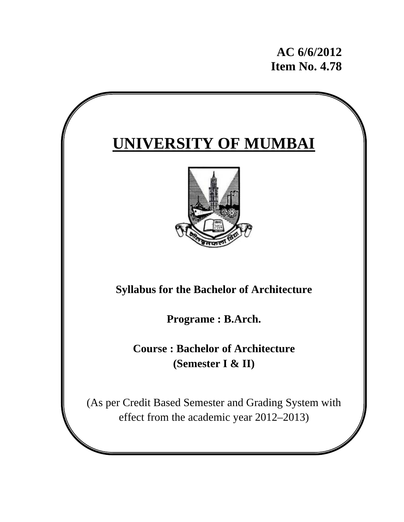**AC 6/6/2012 Item No. 4.78** 

# **UNIVERSITY OF MUMBAI Syllabus for the Bachelor of Architecture Programe : B.Arch. Course : Bachelor of Architecture (Semester I & II)**  (As per Credit Based Semester and Grading System with effect from the academic year 2012–2013)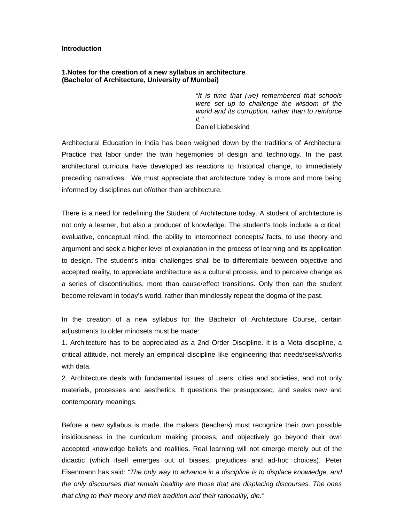#### **Introduction**

#### **1.Notes for the creation of a new syllabus in architecture (Bachelor of Architecture, University of Mumbai)**

*"It is time that (we) remembered that schools were set up to challenge the wisdom of the world and its corruption, rather than to reinforce it."*  Daniel Liebeskind

Architectural Education in India has been weighed down by the traditions of Architectural Practice that labor under the twin hegemonies of design and technology. In the past architectural curricula have developed as reactions to historical change, to immediately preceding narratives. We must appreciate that architecture today is more and more being informed by disciplines out of/other than architecture.

There is a need for redefining the Student of Architecture today. A student of architecture is not only a learner, but also a producer of knowledge. The student's tools include a critical, evaluative, conceptual mind, the ability to interconnect concepts/ facts, to use theory and argument and seek a higher level of explanation in the process of learning and its application to design. The student's initial challenges shall be to differentiate between objective and accepted reality, to appreciate architecture as a cultural process, and to perceive change as a series of discontinuities, more than cause/effect transitions. Only then can the student become relevant in today's world, rather than mindlessly repeat the dogma of the past.

In the creation of a new syllabus for the Bachelor of Architecture Course, certain adjustments to older mindsets must be made:

1. Architecture has to be appreciated as a 2nd Order Discipline. It is a Meta discipline, a critical attitude, not merely an empirical discipline like engineering that needs/seeks/works with data.

2. Architecture deals with fundamental issues of users, cities and societies, and not only materials, processes and aesthetics. It questions the presupposed, and seeks new and contemporary meanings.

Before a new syllabus is made, the makers (teachers) must recognize their own possible insidiousness in the curriculum making process, and objectively go beyond their own accepted knowledge beliefs and realities. Real learning will not emerge merely out of the didactic (which itself emerges out of biases, prejudices and ad-hoc choices). Peter Eisenmann has said: *"The only way to advance in a discipline is to displace knowledge, and the only discourses that remain healthy are those that are displacing discourses. The ones that cling to their theory and their tradition and their rationality, die."*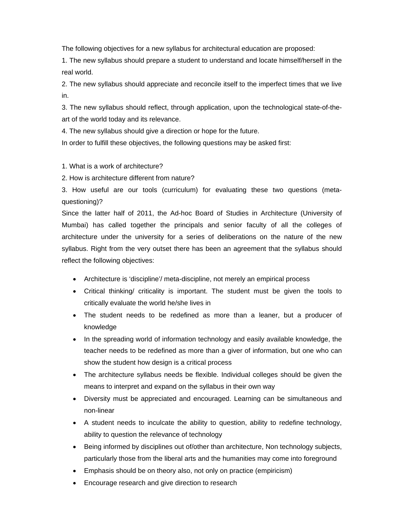The following objectives for a new syllabus for architectural education are proposed:

1. The new syllabus should prepare a student to understand and locate himself/herself in the real world.

2. The new syllabus should appreciate and reconcile itself to the imperfect times that we live in.

3. The new syllabus should reflect, through application, upon the technological state-of-theart of the world today and its relevance.

4. The new syllabus should give a direction or hope for the future.

In order to fulfill these objectives, the following questions may be asked first:

1. What is a work of architecture?

2. How is architecture different from nature?

3. How useful are our tools (curriculum) for evaluating these two questions (metaquestioning)?

Since the latter half of 2011, the Ad-hoc Board of Studies in Architecture (University of Mumbai) has called together the principals and senior faculty of all the colleges of architecture under the university for a series of deliberations on the nature of the new syllabus. Right from the very outset there has been an agreement that the syllabus should reflect the following objectives:

- Architecture is 'discipline'/ meta-discipline, not merely an empirical process
- Critical thinking/ criticality is important. The student must be given the tools to critically evaluate the world he/she lives in
- The student needs to be redefined as more than a leaner, but a producer of knowledge
- In the spreading world of information technology and easily available knowledge, the teacher needs to be redefined as more than a giver of information, but one who can show the student how design is a critical process
- The architecture syllabus needs be flexible. Individual colleges should be given the means to interpret and expand on the syllabus in their own way
- Diversity must be appreciated and encouraged. Learning can be simultaneous and non-linear
- A student needs to inculcate the ability to question, ability to redefine technology, ability to question the relevance of technology
- Being informed by disciplines out of/other than architecture, Non technology subjects, particularly those from the liberal arts and the humanities may come into foreground
- Emphasis should be on theory also, not only on practice (empiricism)
- Encourage research and give direction to research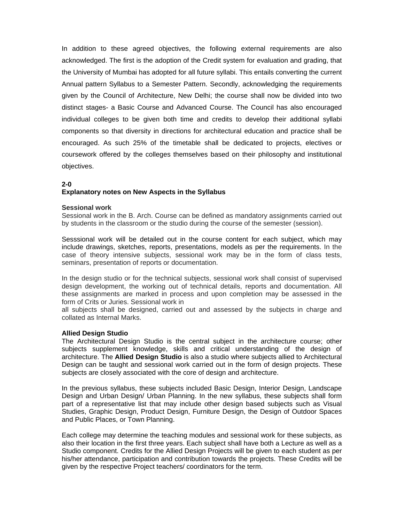In addition to these agreed objectives, the following external requirements are also acknowledged. The first is the adoption of the Credit system for evaluation and grading, that the University of Mumbai has adopted for all future syllabi. This entails converting the current Annual pattern Syllabus to a Semester Pattern. Secondly, acknowledging the requirements given by the Council of Architecture, New Delhi; the course shall now be divided into two distinct stages- a Basic Course and Advanced Course. The Council has also encouraged individual colleges to be given both time and credits to develop their additional syllabi components so that diversity in directions for architectural education and practice shall be encouraged. As such 25% of the timetable shall be dedicated to projects, electives or coursework offered by the colleges themselves based on their philosophy and institutional objectives.

#### **2-0**

#### **Explanatory notes on New Aspects in the Syllabus**

#### **Sessional work**

Sessional work in the B. Arch. Course can be defined as mandatory assignments carried out by students in the classroom or the studio during the course of the semester (session).

Sesssional work will be detailed out in the course content for each subject, which may include drawings, sketches, reports, presentations, models as per the requirements. In the case of theory intensive subjects, sessional work may be in the form of class tests, seminars, presentation of reports or documentation.

In the design studio or for the technical subjects, sessional work shall consist of supervised design development, the working out of technical details, reports and documentation. All these assignments are marked in process and upon completion may be assessed in the form of Crits or Juries. Sessional work in

all subjects shall be designed, carried out and assessed by the subjects in charge and collated as Internal Marks.

#### **Allied Design Studio**

The Architectural Design Studio is the central subject in the architecture course; other subjects supplement knowledge, skills and critical understanding of the design of architecture. The **Allied Design Studio** is also a studio where subjects allied to Architectural Design can be taught and sessional work carried out in the form of design projects. These subjects are closely associated with the core of design and architecture.

In the previous syllabus, these subjects included Basic Design, Interior Design, Landscape Design and Urban Design/ Urban Planning. In the new syllabus, these subjects shall form part of a representative list that may include other design based subjects such as Visual Studies, Graphic Design, Product Design, Furniture Design, the Design of Outdoor Spaces and Public Places, or Town Planning.

Each college may determine the teaching modules and sessional work for these subjects, as also their location in the first three years. Each subject shall have both a Lecture as well as a Studio component. Credits for the Allied Design Projects will be given to each student as per his/her attendance, participation and contribution towards the projects. These Credits will be given by the respective Project teachers/ coordinators for the term.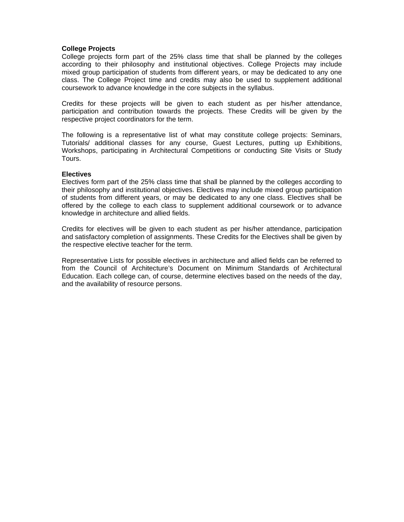#### **College Projects**

College projects form part of the 25% class time that shall be planned by the colleges according to their philosophy and institutional objectives. College Projects may include mixed group participation of students from different years, or may be dedicated to any one class. The College Project time and credits may also be used to supplement additional coursework to advance knowledge in the core subjects in the syllabus.

Credits for these projects will be given to each student as per his/her attendance, participation and contribution towards the projects. These Credits will be given by the respective project coordinators for the term.

The following is a representative list of what may constitute college projects: Seminars, Tutorials/ additional classes for any course, Guest Lectures, putting up Exhibitions, Workshops, participating in Architectural Competitions or conducting Site Visits or Study Tours.

#### **Electives**

Electives form part of the 25% class time that shall be planned by the colleges according to their philosophy and institutional objectives. Electives may include mixed group participation of students from different years, or may be dedicated to any one class. Electives shall be offered by the college to each class to supplement additional coursework or to advance knowledge in architecture and allied fields.

Credits for electives will be given to each student as per his/her attendance, participation and satisfactory completion of assignments. These Credits for the Electives shall be given by the respective elective teacher for the term.

Representative Lists for possible electives in architecture and allied fields can be referred to from the Council of Architecture's Document on Minimum Standards of Architectural Education. Each college can, of course, determine electives based on the needs of the day, and the availability of resource persons.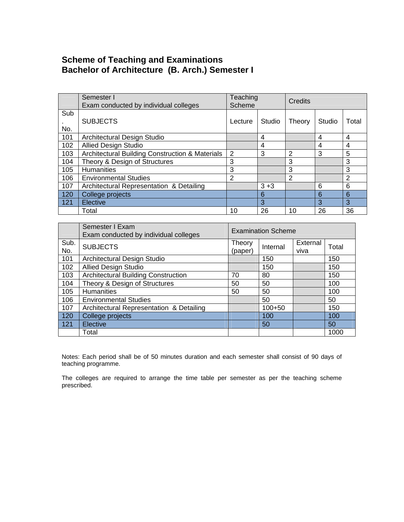# **Scheme of Teaching and Examinations Bachelor of Architecture (B. Arch.) Semester I**

|            | Semester I<br>Exam conducted by individual colleges | Teaching<br>Scheme |         | Credits        |        |       |
|------------|-----------------------------------------------------|--------------------|---------|----------------|--------|-------|
| Sub<br>No. | <b>SUBJECTS</b>                                     | Lecture            | Studio  | Theory         | Studio | Total |
| 101        | <b>Architectural Design Studio</b>                  |                    | 4       |                | 4      | 4     |
| 102        | <b>Allied Design Studio</b>                         |                    | 4       |                | 4      | 4     |
| 103        | Architectural Building Construction & Materials     | $\overline{2}$     | 3       | 2              | 3      | 5     |
| 104        | Theory & Design of Structures                       | 3                  |         | 3              |        | 3     |
| 105        | <b>Humanities</b>                                   | 3                  |         | 3              |        | 3     |
| 106        | <b>Environmental Studies</b>                        | 2                  |         | $\mathfrak{p}$ |        | 2     |
| 107        | Architectural Representation & Detailing            |                    | $3 + 3$ |                | 6      | 6     |
| 120        | College projects                                    |                    | 6       |                | 6      | 6     |
| 121        | Elective                                            |                    | 3       |                | 3      | 3     |
|            | Total                                               | 10                 | 26      | 10             | 26     | 36    |

|             | Semester I Exam<br>Exam conducted by individual colleges | <b>Examination Scheme</b> |            |                  |       |  |
|-------------|----------------------------------------------------------|---------------------------|------------|------------------|-------|--|
| Sub.<br>No. | <b>SUBJECTS</b>                                          | Theory<br>(paper)         | Internal   | External<br>viva | Total |  |
| 101         | Architectural Design Studio                              |                           | 150        |                  | 150   |  |
| 102         | <b>Allied Design Studio</b>                              |                           | 150        |                  | 150   |  |
| 103         | <b>Architectural Building Construction</b>               | 70                        | 80         |                  | 150   |  |
| 104         | Theory & Design of Structures                            | 50                        | 50         |                  | 100   |  |
| 105         | <b>Humanities</b>                                        | 50                        | 50         |                  | 100   |  |
| 106         | <b>Environmental Studies</b>                             |                           | 50         |                  | 50    |  |
| 107         | Architectural Representation & Detailing                 |                           | $100 + 50$ |                  | 150   |  |
| 120         | College projects                                         |                           | 100        |                  | 100   |  |
| 121         | Elective                                                 |                           | 50         |                  | 50    |  |
|             | Total                                                    |                           |            |                  | 1000  |  |

Notes: Each period shall be of 50 minutes duration and each semester shall consist of 90 days of teaching programme.

The colleges are required to arrange the time table per semester as per the teaching scheme prescribed.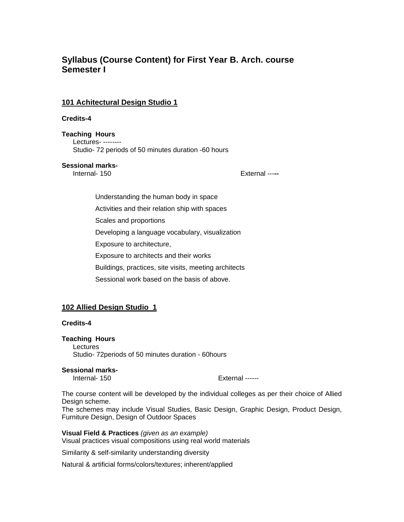# **Syllabus (Course Content) for First Year B. Arch. course Semester I**

## **101 Achitectural Design Studio 1**

#### **Credits-4**

#### **Teaching Hours**

Lectures- -------- Studio- 72 periods of 50 minutes duration -60 hours

#### **Sessional marks-**

Internal- 150 External ---**--** 

Understanding the human body in space Activities and their relation ship with spaces Scales and proportions Developing a language vocabulary, visualization Exposure to architecture, Exposure to architects and their works Buildings, practices, site visits, meeting architects Sessional work based on the basis of above.

# **102 Allied Design Studio 1**

#### **Credits-4**

#### **Teaching Hours**  Lectures

Studio- 72periods of 50 minutes duration - 60hours

#### **Sessional marks-**

Internal- 150 **External** ------

The course content will be developed by the individual colleges as per their choice of Allied Design scheme.

The schemes may include Visual Studies, Basic Design, Graphic Design, Product Design, Furniture Design, Design of Outdoor Spaces

**Visual Field & Practices** *(given as an example)*  Visual practices visual compositions using real world materials

Similarity & self-similarity understanding diversity

Natural & artificial forms/colors/textures; inherent/applied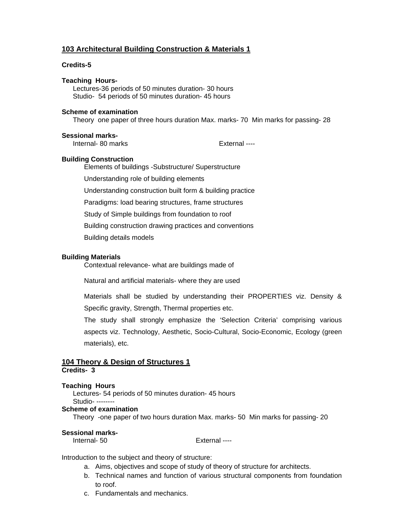# **103 Architectural Building Construction & Materials 1**

#### **Credits-5**

**Teaching Hours-**Lectures-36 periods of 50 minutes duration- 30 hours Studio- 54 periods of 50 minutes duration- 45 hours

#### **Scheme of examination**

Theory one paper of three hours duration Max. marks- 70 Min marks for passing- 28

#### **Sessional marks-**

Internal- 80 marks External ----

#### **Building Construction**

Elements of buildings -Substructure/ Superstructure

Understanding role of building elements

Understanding construction built form & building practice

Paradigms: load bearing structures, frame structures

Study of Simple buildings from foundation to roof

Building construction drawing practices and conventions

Building details models

#### **Building Materials**

Contextual relevance- what are buildings made of

Natural and artificial materials- where they are used

Materials shall be studied by understanding their PROPERTIES viz. Density & Specific gravity, Strength, Thermal properties etc.

The study shall strongly emphasize the 'Selection Criteria' comprising various aspects viz. Technology, Aesthetic, Socio-Cultural, Socio-Economic, Ecology (green materials), etc.

#### **104 Theory & Design of Structures 1 Credits- 3**

#### **Teaching Hours**

Lectures- 54 periods of 50 minutes duration- 45 hours Studio- --------

#### **Scheme of examination**

Theory -one paper of two hours duration Max. marks- 50 Min marks for passing- 20

#### **Sessional marks-**

Internal- 50 External ---

Introduction to the subject and theory of structure:

- a. Aims, objectives and scope of study of theory of structure for architects.
- b. Technical names and function of various structural components from foundation to roof.
- c. Fundamentals and mechanics.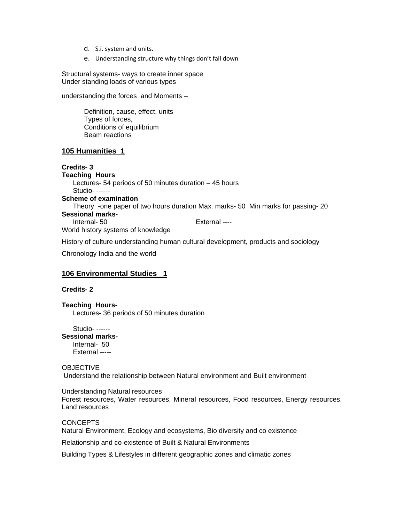- d. S.i. system and units.
- e. Understanding structure why things don't fall down

Structural systems- ways to create inner space Under standing loads of various types

understanding the forces and Moments –

Definition, cause, effect, units Types of forces, Conditions of equilibrium Beam reactions

#### **105 Humanities 1**

#### **Credits- 3**

**Teaching Hours**  Lectures- 54 periods of 50 minutes duration – 45 hours Studio- ------ **Scheme of examination**  Theory -one paper of two hours duration Max. marks- 50 Min marks for passing- 20 **Sessional marks-**Internal- 50 External ----World history systems of knowledge

History of culture understanding human cultural development, products and sociology

Chronology India and the world

#### **106 Environmental Studies 1**

#### **Credits- 2**

**Teaching Hours-**Lectures**-** 36 periods of 50 minutes duration

Studio- ------

#### **Sessional marks-**Internal- 50

External -----

#### **OBJECTIVE**

Understand the relationship between Natural environment and Built environment

Understanding Natural resources

Forest resources, Water resources, Mineral resources, Food resources, Energy resources, Land resources

**CONCEPTS** 

Natural Environment, Ecology and ecosystems, Bio diversity and co existence

Relationship and co-existence of Built & Natural Environments

Building Types & Lifestyles in different geographic zones and climatic zones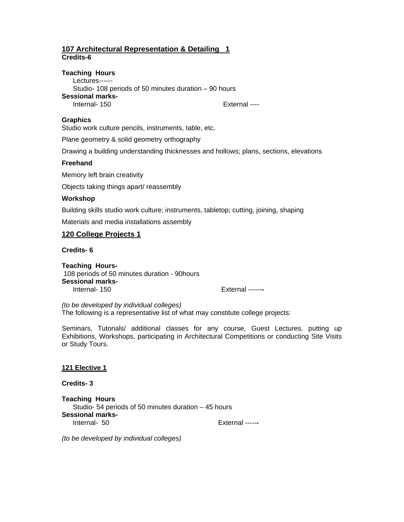# **107 Architectural Representation & Detailing 1 Credits-6**

#### **Teaching Hours**

Lectures------ Studio- 108 periods of 50 minutes duration – 90 hours **Sessional marks-**Internal- 150 External ----

# **Graphics**

Studio work culture pencils, instruments, table, etc.

Plane geometry & solid geometry orthography

Drawing a building understanding thicknesses and hollows; plans, sections, elevations

#### **Freehand**

Memory left brain creativity

Objects taking things apart/ reassembly

#### **Workshop**

Building skills studio work culture; instruments, tabletop; cutting, joining, shaping

Materials and media installations assembly

#### **120 College Projects 1**

**Credits- 6** 

**Teaching Hours-**108 periods of 50 minutes duration - 90hours **Sessional marks-**Internal- 150 External ------**-**

*(to be developed by individual colleges)*  The following is a representative list of what may constitute college projects:

Seminars, Tutorials/ additional classes for any course, Guest Lectures, putting up Exhibitions, Workshops, participating in Architectural Competitions or conducting Site Visits or Study Tours.

#### **121 Elective 1**

**Credits- 3** 

**Teaching Hours**  Studio- 54 periods of 50 minutes duration – 45 hours **Sessional marks-**Internal- 50 External -----**-**

*(to be developed by individual colleges)*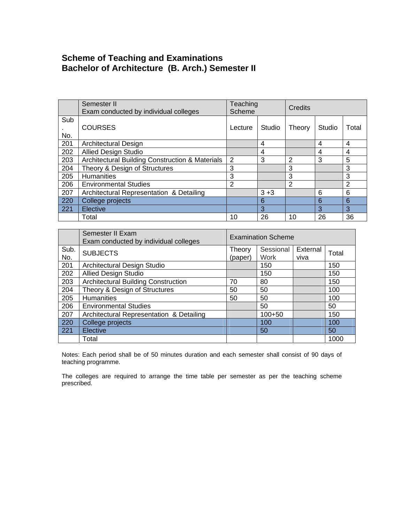# **Scheme of Teaching and Examinations Bachelor of Architecture (B. Arch.) Semester II**

|     | Semester II<br>Exam conducted by individual colleges | Teaching<br>Scheme |         | Credits        |        |       |
|-----|------------------------------------------------------|--------------------|---------|----------------|--------|-------|
| Sub | <b>COURSES</b>                                       | Lecture            | Studio  | Theory         | Studio | Total |
| No. |                                                      |                    |         |                |        |       |
| 201 | <b>Architectural Design</b>                          |                    | 4       |                | 4      | 4     |
| 202 | <b>Allied Design Studio</b>                          |                    | 4       |                | 4      | 4     |
| 203 | Architectural Building Construction & Materials      | 2                  | 3       | $\overline{2}$ | 3      | 5     |
| 204 | Theory & Design of Structures                        | 3                  |         | 3              |        | 3     |
| 205 | <b>Humanities</b>                                    | 3                  |         | 3              |        | 3     |
| 206 | <b>Environmental Studies</b>                         | $\overline{2}$     |         | 2              |        | 2     |
| 207 | Architectural Representation & Detailing             |                    | $3 + 3$ |                | 6      | 6     |
| 220 | College projects                                     |                    | 6       |                | 6      | 6     |
| 221 | Elective                                             |                    | 3       |                | 3      | 3     |
|     | Total                                                | 10                 | 26      | 10             | 26     | 36    |

|             | Semester II Exam<br>Exam conducted by individual colleges | <b>Examination Scheme</b> |                          |                  |       |  |
|-------------|-----------------------------------------------------------|---------------------------|--------------------------|------------------|-------|--|
| Sub.<br>No. | <b>SUBJECTS</b>                                           | Theory<br>(paper)         | Sessional<br><b>Work</b> | External<br>viva | Total |  |
| 201         | Architectural Design Studio                               |                           | 150                      |                  | 150   |  |
| 202         | <b>Allied Design Studio</b>                               |                           | 150                      |                  | 150   |  |
| 203         | <b>Architectural Building Construction</b>                | 70                        | 80                       |                  | 150   |  |
| 204         | Theory & Design of Structures                             | 50                        | 50                       |                  | 100   |  |
| 205         | <b>Humanities</b>                                         | 50                        | 50                       |                  | 100   |  |
| 206         | <b>Environmental Studies</b>                              |                           | 50                       |                  | 50    |  |
| 207         | Architectural Representation & Detailing                  |                           | $100 + 50$               |                  | 150   |  |
| 220         | College projects                                          |                           | 100                      |                  | 100   |  |
| 221         | Elective                                                  |                           | 50                       |                  | 50    |  |
|             | Total                                                     |                           |                          |                  | 1000  |  |

Notes: Each period shall be of 50 minutes duration and each semester shall consist of 90 days of teaching programme.

The colleges are required to arrange the time table per semester as per the teaching scheme prescribed.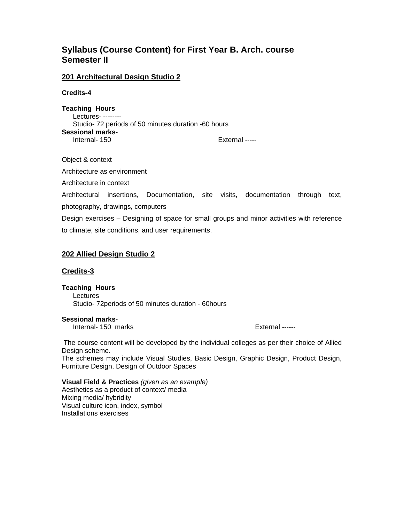# **Syllabus (Course Content) for First Year B. Arch. course Semester II**

#### **201 Architectural Design Studio 2**

**Credits-4** 

**Teaching Hours**  Lectures- -------- Studio- 72 periods of 50 minutes duration -60 hours **Sessional marks-**Internal- 150 **External** -----

Object & context

Architecture as environment

Architecture in context

Architectural insertions, Documentation, site visits, documentation through text, photography, drawings, computers

Design exercises – Designing of space for small groups and minor activities with reference to climate, site conditions, and user requirements.

## **202 Allied Design Studio 2**

#### **Credits-3**

**Teaching Hours**  Lectures Studio- 72periods of 50 minutes duration - 60hours

**Sessional marks-**Internal- 150 marks External ------

 The course content will be developed by the individual colleges as per their choice of Allied Design scheme.

The schemes may include Visual Studies, Basic Design, Graphic Design, Product Design, Furniture Design, Design of Outdoor Spaces

**Visual Field & Practices** *(given as an example)*  Aesthetics as a product of context/ media Mixing media/ hybridity Visual culture icon, index, symbol Installations exercises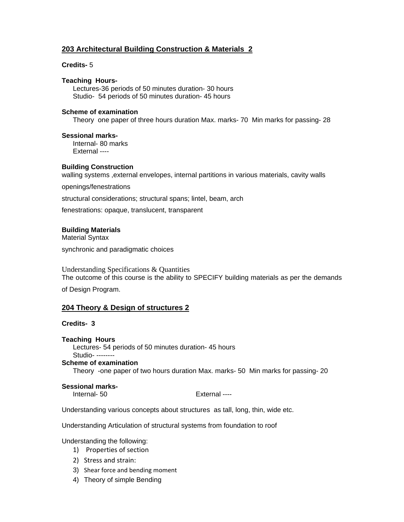# **203 Architectural Building Construction & Materials 2**

#### **Credits-** 5

#### **Teaching Hours-**

Lectures-36 periods of 50 minutes duration- 30 hours Studio- 54 periods of 50 minutes duration- 45 hours

#### **Scheme of examination**

Theory one paper of three hours duration Max. marks- 70 Min marks for passing- 28

#### **Sessional marks-**

Internal- 80 marks External ----

#### **Building Construction**

walling systems ,external envelopes, internal partitions in various materials, cavity walls

openings/fenestrations

structural considerations; structural spans; lintel, beam, arch

fenestrations: opaque, translucent, transparent

#### **Building Materials**

Material Syntax

synchronic and paradigmatic choices

Understanding Specifications & Quantities The outcome of this course is the ability to SPECIFY building materials as per the demands

of Design Program.

# **204 Theory & Design of structures 2**

#### **Credits- 3**

#### **Teaching Hours**

Lectures- 54 periods of 50 minutes duration- 45 hours Studio- --------

**Scheme of examination** 

Theory -one paper of two hours duration Max. marks- 50 Min marks for passing- 20

#### **Sessional marks-**

Internal- 50 External ----

Understanding various concepts about structures as tall, long, thin, wide etc.

Understanding Articulation of structural systems from foundation to roof

Understanding the following:

- 1) Properties of section
- 2) Stress and strain:
- 3) Shear force and bending moment
- 4) Theory of simple Bending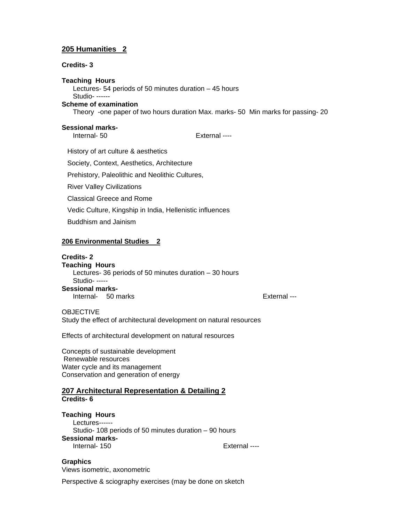# **205 Humanities 2**

#### **Credits- 3**

**Teaching Hours**  Lectures- 54 periods of 50 minutes duration – 45 hours Studio- ------ **Scheme of examination**  Theory -one paper of two hours duration Max. marks- 50 Min marks for passing- 20

#### **Sessional marks-**

Internal- 50 External ----

History of art culture & aesthetics

Society, Context, Aesthetics, Architecture

Prehistory, Paleolithic and Neolithic Cultures,

River Valley Civilizations

Classical Greece and Rome

Vedic Culture, Kingship in India, Hellenistic influences

Buddhism and Jainism

#### **206 Environmental Studies 2**

#### **Credits- 2**

**Teaching Hours**  Lectures- 36 periods of 50 minutes duration – 30 hours Studio- ----- **Sessional marks-**Internal- 50 marks **External** ---

OBJECTIVE

Study the effect of architectural development on natural resources

Effects of architectural development on natural resources

Concepts of sustainable development Renewable resources Water cycle and its management Conservation and generation of energy

#### **207 Architectural Representation & Detailing 2 Credits- 6**

#### **Teaching Hours**

Lectures------ Studio- 108 periods of 50 minutes duration – 90 hours **Sessional marks-**Internal- 150 **External** ---

**Graphics**  Views isometric, axonometric

Perspective & sciography exercises (may be done on sketch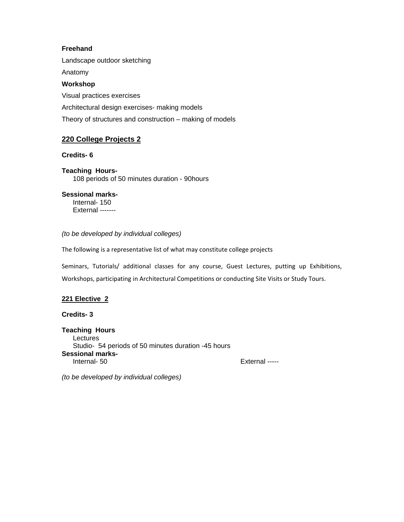## **Freehand**

Landscape outdoor sketching

Anatomy

# **Workshop**

Visual practices exercises Architectural design exercises- making models Theory of structures and construction – making of models

# **220 College Projects 2**

## **Credits- 6**

**Teaching Hours-**108 periods of 50 minutes duration - 90hours

**Sessional marks-**Internal- 150 External -------

#### *(to be developed by individual colleges)*

The following is a representative list of what may constitute college projects

Seminars, Tutorials/ additional classes for any course, Guest Lectures, putting up Exhibitions, Workshops, participating in Architectural Competitions or conducting Site Visits or Study Tours.

# **221 Elective 2**

**Credits- 3** 

**Teaching Hours**  Lectures Studio- 54 periods of 50 minutes duration -45 hours **Sessional marks-**Internal-50 External -----

*(to be developed by individual colleges)*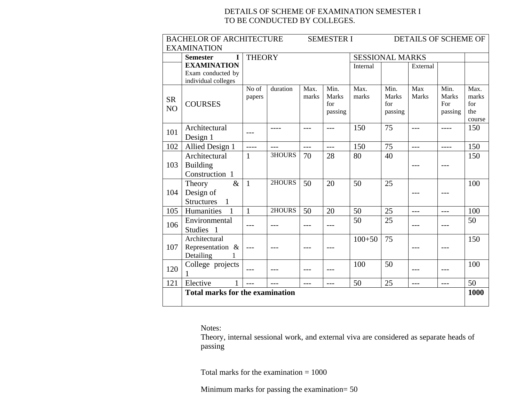# DETAILS OF SCHEME OF EXAMINATION SEMESTER I TO BE CONDUCTED BY COLLEGES.

| <b>BACHELOR OF ARCHITECTURE</b><br><b>SEMESTER I</b><br>DETAILS OF SCHEME OF |                                        |               |               |       |                        |            |                      |                     |                      |               |
|------------------------------------------------------------------------------|----------------------------------------|---------------|---------------|-------|------------------------|------------|----------------------|---------------------|----------------------|---------------|
| <b>EXAMINATION</b>                                                           |                                        |               |               |       |                        |            |                      |                     |                      |               |
|                                                                              | <b>Semester</b><br>I                   | <b>THEORY</b> |               |       | <b>SESSIONAL MARKS</b> |            |                      |                     |                      |               |
|                                                                              | <b>EXAMINATION</b>                     |               |               |       |                        | Internal   |                      | External            |                      |               |
|                                                                              | Exam conducted by                      |               |               |       |                        |            |                      |                     |                      |               |
|                                                                              | individual colleges                    |               |               |       |                        |            |                      |                     |                      |               |
|                                                                              |                                        | No of         | duration      | Max.  | Min.<br><b>Marks</b>   | Max.       | Min.<br><b>Marks</b> | Max<br><b>Marks</b> | Min.<br><b>Marks</b> | Max.<br>marks |
| <b>SR</b>                                                                    | <b>COURSES</b>                         | papers        |               | marks | for                    | marks      | for                  |                     | For                  | for           |
| N <sub>O</sub>                                                               |                                        |               |               |       | passing                |            | passing              |                     | passing              | the           |
|                                                                              |                                        |               |               |       |                        |            |                      |                     |                      | course        |
|                                                                              | Architectural                          |               | ----          | $---$ | $---$                  | 150        | 75                   | $---$               | ----                 | 150           |
| 101                                                                          | Design 1                               | ---           |               |       |                        |            |                      |                     |                      |               |
| 102                                                                          | Allied Design 1                        | $---$         | $---$         | $---$ | $---$                  | 150        | 75                   | $---$               | ----                 | 150           |
|                                                                              | Architectural                          | 1             | <b>3HOURS</b> | 70    | 28                     | 80         | 40                   |                     |                      | 150           |
| 103                                                                          | <b>Building</b>                        |               |               |       |                        |            |                      |                     |                      |               |
|                                                                              | Construction 1                         |               |               |       |                        |            |                      |                     |                      |               |
|                                                                              | $\&$<br>Theory                         | $\mathbf{1}$  | 2HOURS        | 50    | 20                     | 50         | 25                   |                     |                      | 100           |
| 104                                                                          | Design of                              |               |               |       |                        |            |                      |                     | $- - -$              |               |
|                                                                              | <b>Structures</b><br>1                 |               |               |       |                        |            |                      |                     |                      |               |
| 105                                                                          | Humanities<br>$\overline{1}$           | $\mathbf{1}$  | 2HOURS        | 50    | 20                     | 50         | 25                   | ---                 | $---$                | 100           |
| 106                                                                          | Environmental                          |               |               |       |                        | 50         | 25                   |                     |                      | 50            |
|                                                                              | Studies 1                              | $---$         |               | $---$ | ---                    |            |                      |                     | $---$                |               |
|                                                                              | Architectural                          |               |               |       |                        | $100 + 50$ | 75                   |                     |                      | 150           |
| 107                                                                          | Representation &                       | $---$         |               |       |                        |            |                      |                     |                      |               |
|                                                                              | Detailing                              |               |               |       |                        |            |                      |                     |                      |               |
| 120                                                                          | College projects                       | $---$         |               | $---$ | ---                    | 100        | 50                   | ---                 | $---$                | 100           |
|                                                                              | 1                                      |               |               |       |                        |            |                      |                     |                      |               |
| 121                                                                          | Elective                               | $---$         | $---$         | $---$ | $---$                  | 50         | 25                   | $---$               | $---$                | 50            |
|                                                                              | <b>Total marks for the examination</b> |               |               |       |                        |            |                      |                     |                      | 1000          |
|                                                                              |                                        |               |               |       |                        |            |                      |                     |                      |               |

Notes:

Theory, internal sessional work, and external viva are considered as separate heads of passing

Total marks for the examination = 1000

Minimum marks for passing the examination= 50